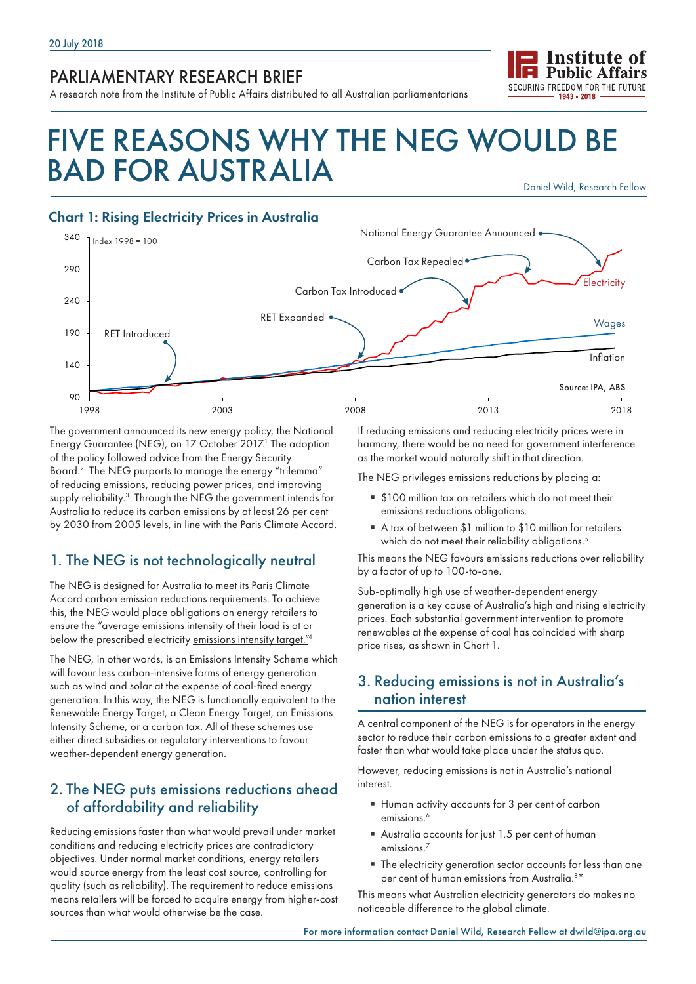## PARLIAMENTARY RESEARCH BRIEF

A research note from the Institute of Public Affairs distributed to all Australian parliamentarians

# FIVE REASONS WHY THE NEG WOULD BE BAD FOR AUSTRALIA Daniel Wild, Research Fellow

#### Chart 1: Rising Electricity Prices in Australia



The government announced its new energy policy, the National Energy Guarantee (NEG), on 17 October 2017.<sup>1</sup> The adoption of the policy followed advice from the Energy Security Board.2 The NEG purports to manage the energy "trilemma" of reducing emissions, reducing power prices, and improving supply reliability.<sup>3</sup> Through the NEG the government intends for Australia to reduce its carbon emissions by at least 26 per cent by 2030 from 2005 levels, in line with the Paris Climate Accord.

## 1. The NEG is not technologically neutral

The NEG is designed for Australia to meet its Paris Climate Accord carbon emission reductions requirements. To achieve this, the NEG would place obligations on energy retailers to ensure the "average emissions intensity of their load is at or below the prescribed electricity emissions intensity target."<sup>4</sup>

The NEG, in other words, is an Emissions Intensity Scheme which will favour less carbon-intensive forms of energy generation such as wind and solar at the expense of coal-fired energy generation. In this way, the NEG is functionally equivalent to the Renewable Energy Target, a Clean Energy Target, an Emissions Intensity Scheme, or a carbon tax. All of these schemes use either direct subsidies or regulatory interventions to favour weather-dependent energy generation.

#### 2. The NEG puts emissions reductions ahead of affordability and reliability

Reducing emissions faster than what would prevail under market conditions and reducing electricity prices are contradictory objectives. Under normal market conditions, energy retailers would source energy from the least cost source, controlling for quality (such as reliability). The requirement to reduce emissions means retailers will be forced to acquire energy from higher-cost sources than what would otherwise be the case.

If reducing emissions and reducing electricity prices were in harmony, there would be no need for government interference as the market would naturally shift in that direction.

**Institute of Public Affairs** SECURING EREEDOM FOR THE FUTURE 1943 - 2018

The NEG privileges emissions reductions by placing a:

- \$100 million tax on retailers which do not meet their emissions reductions obligations.
- A tax of between \$1 million to \$10 million for retailers which do not meet their reliability obligations.<sup>5</sup>

This means the NEG favours emissions reductions over reliability by a factor of up to 100-to-one.

Sub-optimally high use of weather-dependent energy generation is a key cause of Australia's high and rising electricity prices. Each substantial government intervention to promote renewables at the expense of coal has coincided with sharp price rises, as shown in Chart 1.

#### 3. Reducing emissions is not in Australia's nation interest

A central component of the NEG is for operators in the energy sector to reduce their carbon emissions to a greater extent and faster than what would take place under the status quo.

However, reducing emissions is not in Australia's national interest.

- Human activity accounts for 3 per cent of carbon emissions.<sup>6</sup>
- Australia accounts for just 1.5 per cent of human emissions.<sup>7</sup>
- The electricity generation sector accounts for less than one per cent of human emissions from Australia.<sup>8\*</sup>

This means what Australian electricity generators do makes no noticeable difference to the global climate.